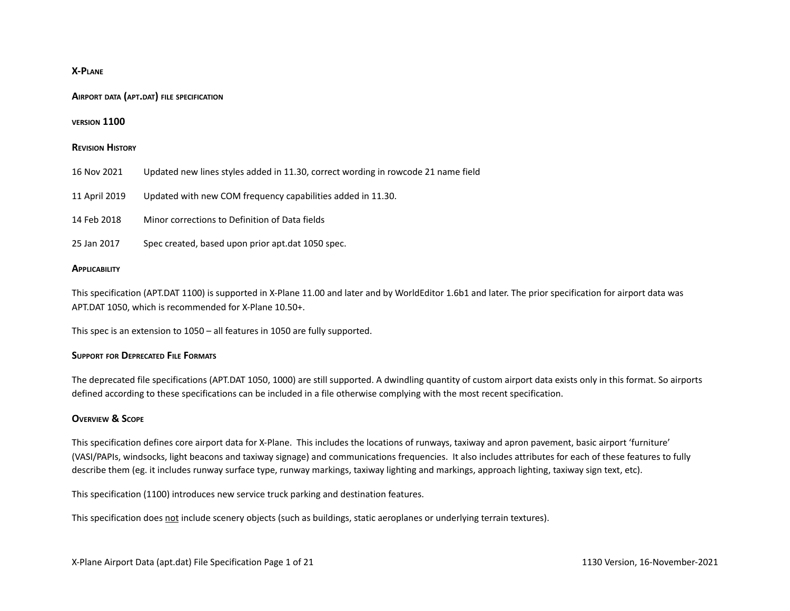### **X-PLANE**

#### **AIRPORT DATA (APT.DAT) FILE SPECIFICATION**

#### **VERSION 1100**

#### **REVISION HISTORY**

| 16 Nov 2021 | Updated new lines styles added in 11.30, correct wording in rowcode 21 name field |  |  |
|-------------|-----------------------------------------------------------------------------------|--|--|
|-------------|-----------------------------------------------------------------------------------|--|--|

- 11 April 2019 Updated with new COM frequency capabilities added in 11.30.
- 14 Feb 2018 Minor corrections to Definition of Data fields
- 25 Jan 2017 Spec created, based upon prior apt.dat 1050 spec.

#### **APPLICABILITY**

This specification (APT.DAT 1100) is supported in X-Plane 11.00 and later and by WorldEditor 1.6b1 and later. The prior specification for airport data was APT.DAT 1050, which is recommended for X-Plane 10.50+.

This spec is an extension to 1050 – all features in 1050 are fully supported.

## **SUPPORT FOR DEPRECATED FILE FORMATS**

The deprecated file specifications (APT.DAT 1050, 1000) are still supported. A dwindling quantity of custom airport data exists only in this format. So airports defined according to these specifications can be included in a file otherwise complying with the most recent specification.

## **OVERVIEW & SCOPE**

This specification defines core airport data for X-Plane. This includes the locations of runways, taxiway and apron pavement, basic airport 'furniture' (VASI/PAPIs, windsocks, light beacons and taxiway signage) and communications frequencies. It also includes attributes for each of these features to fully describe them (eg. it includes runway surface type, runway markings, taxiway lighting and markings, approach lighting, taxiway sign text, etc).

This specification (1100) introduces new service truck parking and destination features.

This specification does not include scenery objects (such as buildings, static aeroplanes or underlying terrain textures).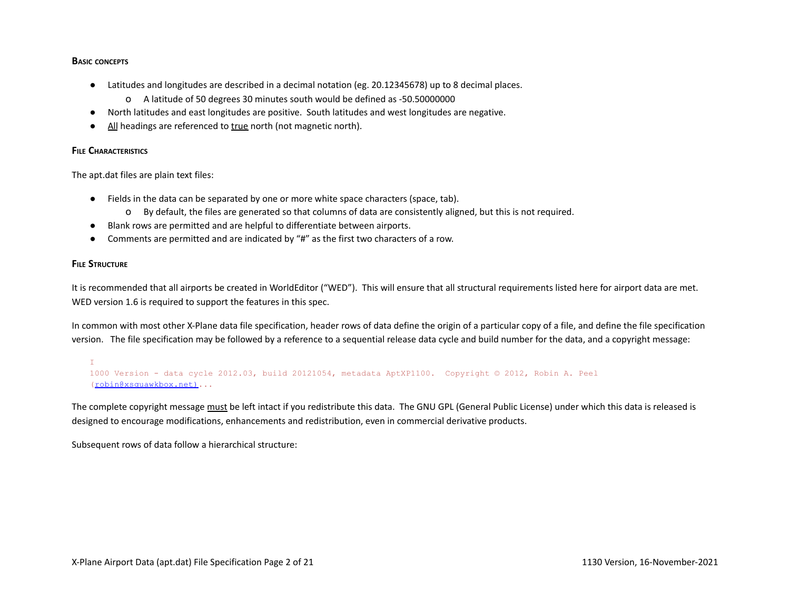### **BASIC CONCEPTS**

- Latitudes and longitudes are described in a decimal notation (eg. 20.12345678) up to 8 decimal places.
	- o A latitude of 50 degrees 30 minutes south would be defined as -50.50000000
- North latitudes and east longitudes are positive. South latitudes and west longitudes are negative.
- All headings are referenced to true north (not magnetic north).

## **FILE CHARACTERISTICS**

The apt.dat files are plain text files:

- Fields in the data can be separated by one or more white space characters (space, tab).
	- o By default, the files are generated so that columns of data are consistently aligned, but this is not required.
- Blank rows are permitted and are helpful to differentiate between airports.
- Comments are permitted and are indicated by "#" as the first two characters of a row.

## **FILE STRUCTURE**

It is recommended that all airports be created in WorldEditor ("WED"). This will ensure that all structural requirements listed here for airport data are met. WED version 1.6 is required to support the features in this spec.

In common with most other X-Plane data file specification, header rows of data define the origin of a particular copy of a file, and define the file specification version. The file specification may be followed by a reference to a sequential release data cycle and build number for the data, and a copyright message:

 $\mathbb T$ 1000 Version - data cycle 2012.03, build 20121054, metadata AptXP1100. Copyright © 2012, Robin A. Peel (robin@xsquawkbox.net)...

The complete copyright message must be left intact if you redistribute this data. The GNU GPL (General Public License) under which this data is released is designed to encourage modifications, enhancements and redistribution, even in commercial derivative products.

Subsequent rows of data follow a hierarchical structure: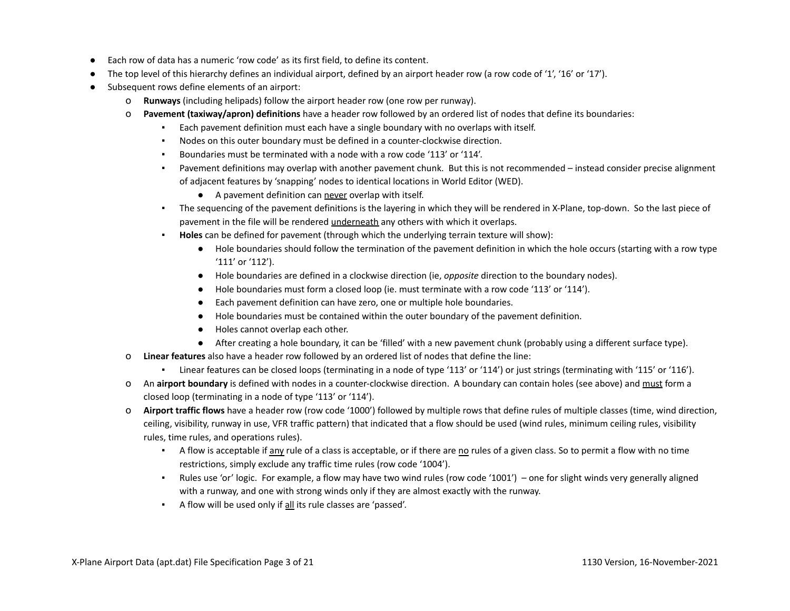- Each row of data has a numeric 'row code' as its first field, to define its content.
- The top level of this hierarchy defines an individual airport, defined by an airport header row (a row code of '1', '16' or '17').
- Subsequent rows define elements of an airport:
	- o **Runways** (including helipads) follow the airport header row (one row per runway).
	- o **Pavement (taxiway/apron) definitions** have a header row followed by an ordered list of nodes that define its boundaries:
		- Each pavement definition must each have a single boundary with no overlaps with itself.
		- Nodes on this outer boundary must be defined in a counter-clockwise direction.
		- Boundaries must be terminated with a node with a row code '113' or '114'.
		- Pavement definitions may overlap with another pavement chunk. But this is not recommended instead consider precise alignment of adjacent features by 'snapping' nodes to identical locations in World Editor (WED).
			- A pavement definition can never overlap with itself.
		- The sequencing of the pavement definitions is the layering in which they will be rendered in X-Plane, top-down. So the last piece of pavement in the file will be rendered underneath any others with which it overlaps.
		- **Holes** can be defined for pavement (through which the underlying terrain texture will show):
			- Hole boundaries should follow the termination of the pavement definition in which the hole occurs (starting with a row type '111' or '112').
			- Hole boundaries are defined in a clockwise direction (ie, *opposite* direction to the boundary nodes).
			- Hole boundaries must form a closed loop (ie. must terminate with a row code '113' or '114').
			- Each pavement definition can have zero, one or multiple hole boundaries.
			- Hole boundaries must be contained within the outer boundary of the pavement definition.
			- Holes cannot overlap each other.
			- After creating a hole boundary, it can be 'filled' with a new pavement chunk (probably using a different surface type).
	- o **Linear features** also have a header row followed by an ordered list of nodes that define the line:
		- Linear features can be closed loops (terminating in a node of type '113' or '114') or just strings (terminating with '115' or '116').
	- o An **airport boundary** is defined with nodes in a counter-clockwise direction. A boundary can contain holes (see above) and must form a closed loop (terminating in a node of type '113' or '114').
	- o **Airport traffic flows** have a header row (row code '1000') followed by multiple rows that define rules of multiple classes (time, wind direction, ceiling, visibility, runway in use, VFR traffic pattern) that indicated that a flow should be used (wind rules, minimum ceiling rules, visibility rules, time rules, and operations rules).
		- A flow is acceptable if any rule of a class is acceptable, or if there are no rules of a given class. So to permit a flow with no time restrictions, simply exclude any traffic time rules (row code '1004').
		- Rules use 'or' logic. For example, a flow may have two wind rules (row code '1001') one for slight winds very generally aligned with a runway, and one with strong winds only if they are almost exactly with the runway.
		- A flow will be used only if all its rule classes are 'passed'.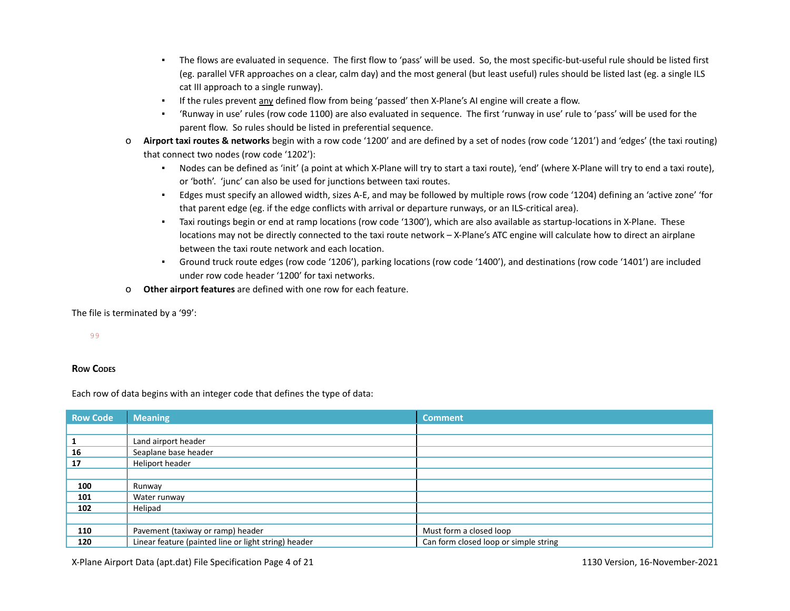- The flows are evaluated in sequence. The first flow to 'pass' will be used. So, the most specific-but-useful rule should be listed first (eg. parallel VFR approaches on a clear, calm day) and the most general (but least useful) rules should be listed last (eg. a single ILS cat III approach to a single runway).
- If the rules prevent any defined flow from being 'passed' then X-Plane's AI engine will create a flow.
- 'Runway in use' rules (row code 1100) are also evaluated in sequence. The first 'runway in use' rule to 'pass' will be used for the parent flow. So rules should be listed in preferential sequence.
- o **Airport taxi routes & networks** begin with a row code '1200' and are defined by a set of nodes (row code '1201') and 'edges' (the taxi routing) that connect two nodes (row code '1202'):
	- Nodes can be defined as 'init' (a point at which X-Plane will try to start a taxi route), 'end' (where X-Plane will try to end a taxi route), or 'both'. 'junc' can also be used for junctions between taxi routes.
	- Edges must specify an allowed width, sizes A-E, and may be followed by multiple rows (row code '1204) defining an 'active zone' 'for that parent edge (eg. if the edge conflicts with arrival or departure runways, or an ILS-critical area).
	- Taxi routings begin or end at ramp locations (row code '1300'), which are also available as startup-locations in X-Plane. These locations may not be directly connected to the taxi route network – X-Plane's ATC engine will calculate how to direct an airplane between the taxi route network and each location.
	- Ground truck route edges (row code '1206'), parking locations (row code '1400'), and destinations (row code '1401') are included under row code header '1200' for taxi networks.
- o **Other airport features** are defined with one row for each feature.

The file is terminated by a '99':

99

## **ROW CODES**

Each row of data begins with an integer code that defines the type of data:

| <b>Row Code</b> | <b>Meaning</b>                                       | <b>Comment</b>                        |
|-----------------|------------------------------------------------------|---------------------------------------|
|                 |                                                      |                                       |
| 1               | Land airport header                                  |                                       |
| 16              | Seaplane base header                                 |                                       |
| 17              | Heliport header                                      |                                       |
|                 |                                                      |                                       |
| 100             | Runway                                               |                                       |
| 101             | Water runway                                         |                                       |
| 102             | Helipad                                              |                                       |
|                 |                                                      |                                       |
| 110             | Pavement (taxiway or ramp) header                    | Must form a closed loop               |
| 120             | Linear feature (painted line or light string) header | Can form closed loop or simple string |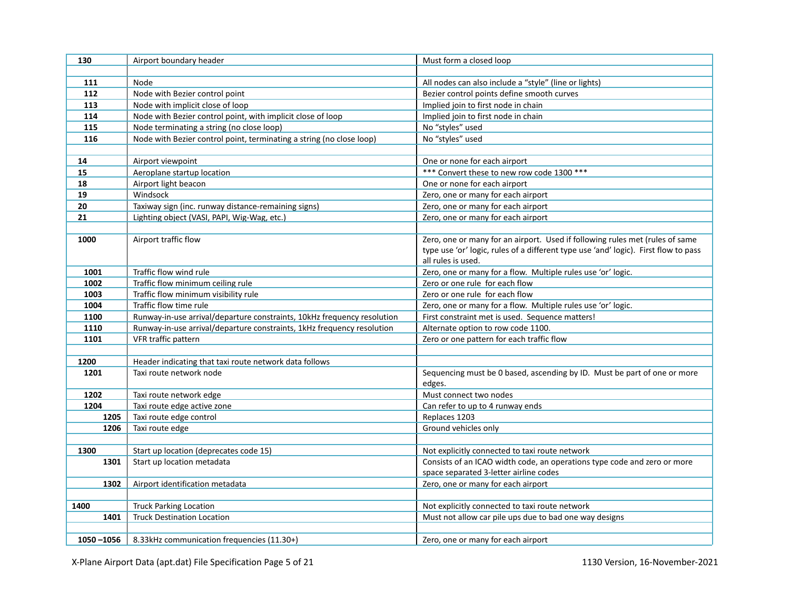| 130       | Airport boundary header                                                 | Must form a closed loop                                                             |  |
|-----------|-------------------------------------------------------------------------|-------------------------------------------------------------------------------------|--|
|           |                                                                         |                                                                                     |  |
| 111       | Node                                                                    | All nodes can also include a "style" (line or lights)                               |  |
| 112       | Node with Bezier control point                                          | Bezier control points define smooth curves                                          |  |
| 113       | Node with implicit close of loop                                        | Implied join to first node in chain                                                 |  |
| 114       | Node with Bezier control point, with implicit close of loop             | Implied join to first node in chain                                                 |  |
| 115       | Node terminating a string (no close loop)                               | No "styles" used                                                                    |  |
| 116       | Node with Bezier control point, terminating a string (no close loop)    | No "styles" used                                                                    |  |
|           |                                                                         |                                                                                     |  |
| 14        | Airport viewpoint                                                       | One or none for each airport                                                        |  |
| 15        | Aeroplane startup location                                              | *** Convert these to new row code 1300 ***                                          |  |
| 18        | Airport light beacon                                                    | One or none for each airport                                                        |  |
| 19        | Windsock                                                                | Zero, one or many for each airport                                                  |  |
| 20        | Taxiway sign (inc. runway distance-remaining signs)                     | Zero, one or many for each airport                                                  |  |
| 21        | Lighting object (VASI, PAPI, Wig-Wag, etc.)                             | Zero, one or many for each airport                                                  |  |
|           |                                                                         |                                                                                     |  |
| 1000      | Airport traffic flow                                                    | Zero, one or many for an airport. Used if following rules met (rules of same        |  |
|           |                                                                         | type use 'or' logic, rules of a different type use 'and' logic). First flow to pass |  |
|           |                                                                         | all rules is used.                                                                  |  |
| 1001      | Traffic flow wind rule                                                  | Zero, one or many for a flow. Multiple rules use 'or' logic.                        |  |
| 1002      | Traffic flow minimum ceiling rule                                       | Zero or one rule for each flow                                                      |  |
| 1003      | Traffic flow minimum visibility rule                                    | Zero or one rule for each flow                                                      |  |
| 1004      | Traffic flow time rule                                                  | Zero, one or many for a flow. Multiple rules use 'or' logic.                        |  |
| 1100      | Runway-in-use arrival/departure constraints, 10kHz frequency resolution | First constraint met is used. Sequence matters!                                     |  |
| 1110      | Runway-in-use arrival/departure constraints, 1kHz frequency resolution  | Alternate option to row code 1100.                                                  |  |
| 1101      | VFR traffic pattern                                                     | Zero or one pattern for each traffic flow                                           |  |
|           |                                                                         |                                                                                     |  |
| 1200      | Header indicating that taxi route network data follows                  |                                                                                     |  |
| 1201      | Taxi route network node                                                 | Sequencing must be 0 based, ascending by ID. Must be part of one or more            |  |
| 1202      |                                                                         | edges.<br>Must connect two nodes                                                    |  |
| 1204      | Taxi route network edge<br>Taxi route edge active zone                  | Can refer to up to 4 runway ends                                                    |  |
| 1205      | Taxi route edge control                                                 | Replaces 1203                                                                       |  |
| 1206      | Taxi route edge                                                         | Ground vehicles only                                                                |  |
|           |                                                                         |                                                                                     |  |
| 1300      | Start up location (deprecates code 15)                                  | Not explicitly connected to taxi route network                                      |  |
| 1301      | Start up location metadata                                              | Consists of an ICAO width code, an operations type code and zero or more            |  |
|           |                                                                         | space separated 3-letter airline codes                                              |  |
| 1302      | Airport identification metadata                                         | Zero, one or many for each airport                                                  |  |
|           |                                                                         |                                                                                     |  |
| 1400      | <b>Truck Parking Location</b>                                           | Not explicitly connected to taxi route network                                      |  |
| 1401      | <b>Truck Destination Location</b>                                       | Must not allow car pile ups due to bad one way designs                              |  |
|           |                                                                         |                                                                                     |  |
| 1050-1056 | 8.33kHz communication frequencies (11.30+)                              | Zero, one or many for each airport                                                  |  |
|           |                                                                         |                                                                                     |  |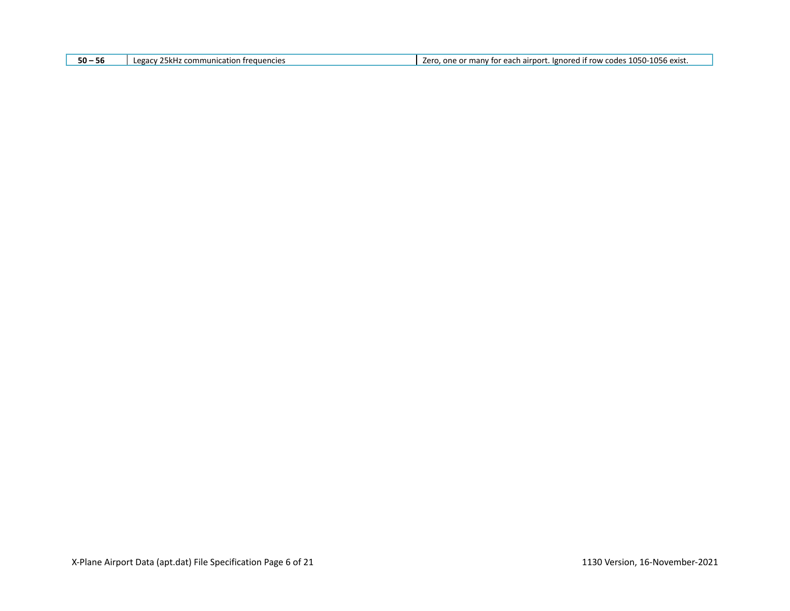| $50 - 56$ | LAGACY<br>encie<br>mmuni<br>ісатіс<br>יווי− | 1056<br><b>OEC</b><br>exist.<br>lgnored if<br>row<br>ch airbor:<br>/err<br><sup>,</sup> for each<br>on.<br>. אמר<br>many<br>~~<br>лл⊭ |
|-----------|---------------------------------------------|---------------------------------------------------------------------------------------------------------------------------------------|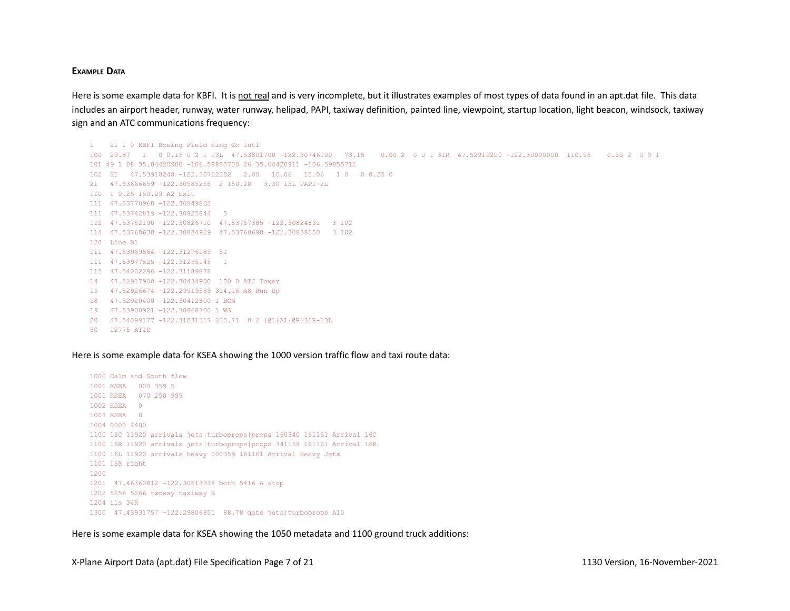#### **EXAMPLE DATA**

Here is some example data for KBFI. It is not real and is very incomplete, but it illustrates examples of most types of data found in an apt.dat file. This data includes an airport header, runway, water runway, helipad, PAPI, taxiway definition, painted line, viewpoint, startup location, light beacon, windsock, taxiway sign and an ATC communications frequency:

```
1 21 1 0 KBFI Boeing Field King Co Intl
100 29.87 1 0 0.15 0 2 1 13L 47.53801700 -122.30746100 73.15 0.00 2 0 0 1 31R 47.52919200 -122.30000000 110.95 0.00 2 0 0 1
101 49 1 08 35.04420900 -106.59855700 26 35.04420911 -106.59855711
102 H1 47.53918248 -122.30722302 2.00 10.06 10.06 1 0 0 0.25 0
21 47.53666659 -122.30585255 2 150.28 3.30 13L PAPI-2L
110 1 0.25 150.29 A2 Exit
111 47.53770968 -122.30849802
111 47.53742819 -122.30825844 3
112 47.53752190 -122.30826710 47.53757385 -122.30824831 3 102
114 47.53768630 -122.30834929 47.53768690 -122.30838150 3 102
120 Line B1
111 47.53969864 -122.31276189 51
111 47.53977825 -122.31255145 1
115 47.54002296 -122.31189878
14 47.52917900 -122.30434900 100 0 ATC Tower
15 47.52926674 -122.29919589 304.16 A8 Run Up
18 47.52920400 -122.30412800 1 BCN
19 47.53900921 -122.30868700 1 WS
20 47.54099177 -122.31031317 235.71 0 2 {@L}A1{@R}31R-13L
50 12775 ATIS
```
Here is some example data for KSEA showing the 1000 version traffic flow and taxi route data:

```
1000 Calm and South flow
1001 KSEA 000 359 5
1001 KSEA 070 250 999
1002 KSEA 0
1003 KSEA 0
1004 0000 2400
1100 16C 11920 arrivals jets|turboprops|props 160340 161161 Arrival 16C
1100 16R 11920 arrivals jets|turboprops|props 341159 161161 Arrival 16R
1100 16L 11920 arrivals heavy 000359 161161 Arrival Heavy Jets
1101 16R right
1200
1201 47.46360812 -122.30613338 both 5416 A_stop
1202 5258 5266 twoway taxiway B
1204 ils 34R
1300 47.43931757 -122.29806851 88.78 gate jets|turboprops A10
```
Here is some example data for KSEA showing the 1050 metadata and 1100 ground truck additions: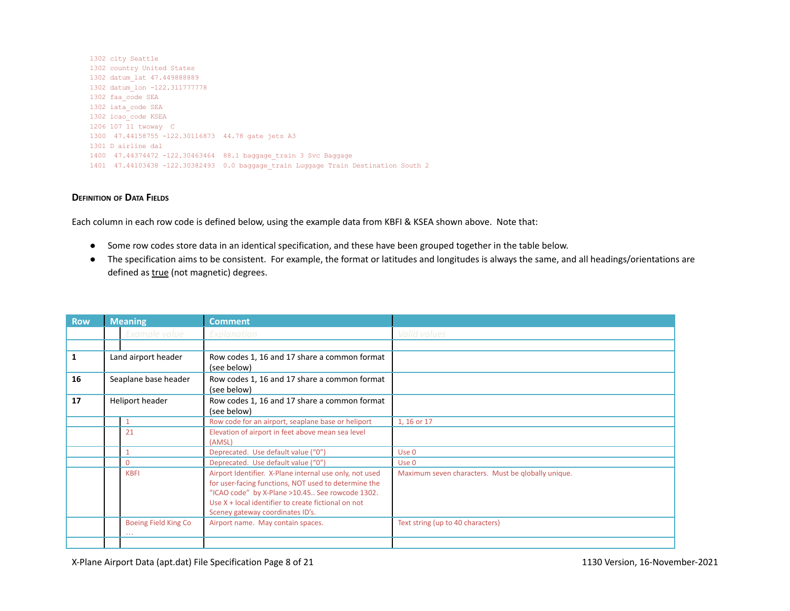```
1302 city Seattle
1302 country United States
1302 datum_lat 47.449888889
1302 datum_lon -122.311777778
1302 faa_code SEA
1302 iata_code SEA
1302 icao_code KSEA
1206 107 11 twoway C
1300 47.44158755 -122.30116873 44.78 gate jets A3
1301 D airline dal
1400 47.44374472 -122.30463464 88.1 baggage_train 3 Svc Baggage
1401 47.44103438 -122.30382493 0.0 baggage_train Luggage Train Destination South 2
```
## **DEFINITION OF DATA FIELDS**

Each column in each row code is defined below, using the example data from KBFI & KSEA shown above. Note that:

- Some row codes store data in an identical specification, and these have been grouped together in the table below.
- The specification aims to be consistent. For example, the format or latitudes and longitudes is always the same, and all headings/orientations are defined as **true** (not magnetic) degrees.

| <b>Row</b>   | <b>Meaning</b>       |                                    | <b>Comment</b>                                                                                                                                                                                                                                                |                                                    |
|--------------|----------------------|------------------------------------|---------------------------------------------------------------------------------------------------------------------------------------------------------------------------------------------------------------------------------------------------------------|----------------------------------------------------|
|              |                      | Example value                      | Explanation                                                                                                                                                                                                                                                   | Valid values                                       |
|              |                      |                                    |                                                                                                                                                                                                                                                               |                                                    |
| $\mathbf{1}$ |                      | Land airport header                | Row codes 1, 16 and 17 share a common format<br>(see below)                                                                                                                                                                                                   |                                                    |
| 16           | Seaplane base header |                                    | Row codes 1, 16 and 17 share a common format<br>(see below)                                                                                                                                                                                                   |                                                    |
| 17           | Heliport header      |                                    | Row codes 1, 16 and 17 share a common format<br>(see below)                                                                                                                                                                                                   |                                                    |
|              |                      |                                    | Row code for an airport, seaplane base or heliport                                                                                                                                                                                                            | 1, 16 or 17                                        |
|              |                      | 21                                 | Elevation of airport in feet above mean sea level                                                                                                                                                                                                             |                                                    |
|              |                      |                                    | (AMSL)                                                                                                                                                                                                                                                        |                                                    |
|              |                      |                                    | Deprecated. Use default value ("0")                                                                                                                                                                                                                           | Use 0                                              |
|              |                      | $\Omega$                           | Deprecated. Use default value ("0")                                                                                                                                                                                                                           | Use 0                                              |
|              |                      | <b>KBFI</b>                        | Airport Identifier. X-Plane internal use only, not used<br>for user-facing functions, NOT used to determine the<br>"ICAO code" by X-Plane >10.45 See rowcode 1302.<br>Use X + local identifier to create fictional on not<br>Sceney gateway coordinates ID's. | Maximum seven characters. Must be qlobally unique. |
|              |                      | Boeing Field King Co<br>$\sim 100$ | Airport name. May contain spaces.                                                                                                                                                                                                                             | Text string (up to 40 characters)                  |
|              |                      |                                    |                                                                                                                                                                                                                                                               |                                                    |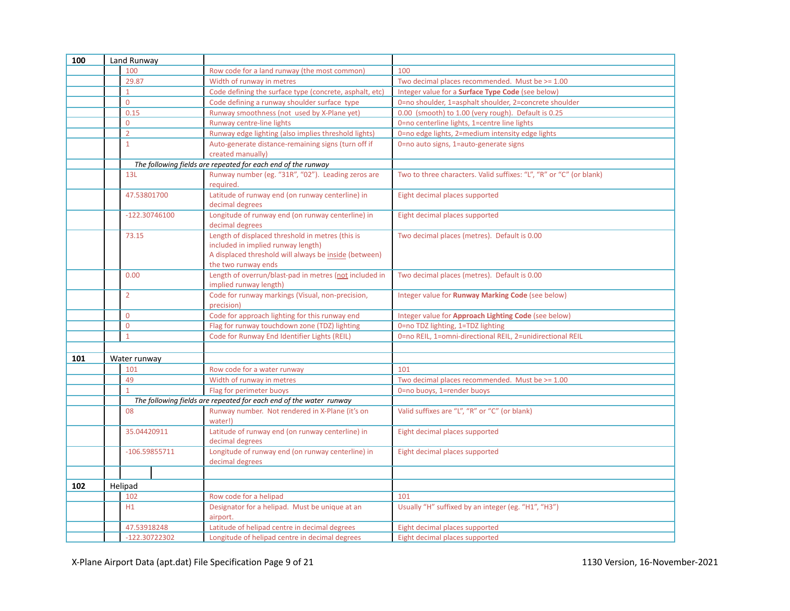| 100 | Land Runway     |                                                                                                                                                                        |                                                                     |
|-----|-----------------|------------------------------------------------------------------------------------------------------------------------------------------------------------------------|---------------------------------------------------------------------|
|     | 100             | Row code for a land runway (the most common)                                                                                                                           | 100                                                                 |
|     | 29.87           | Width of runway in metres                                                                                                                                              | Two decimal places recommended. Must be >= 1.00                     |
|     |                 | Code defining the surface type (concrete, asphalt, etc)                                                                                                                | Integer value for a Surface Type Code (see below)                   |
|     | $\overline{0}$  | Code defining a runway shoulder surface type                                                                                                                           | 0=no shoulder, 1=asphalt shoulder, 2=concrete shoulder              |
|     | 0.15            | Runway smoothness (not used by X-Plane yet)                                                                                                                            | 0.00 (smooth) to 1.00 (very rough). Default is 0.25                 |
|     | $\overline{0}$  | Runway centre-line lights                                                                                                                                              | 0=no centerline lights, 1=centre line lights                        |
|     | $\overline{2}$  | Runway edge lighting (also implies threshold lights)                                                                                                                   | 0=no edge lights, 2=medium intensity edge lights                    |
|     | $\mathbf{1}$    | Auto-generate distance-remaining signs (turn off if<br>created manually)                                                                                               | 0=no auto signs, 1=auto-generate signs                              |
|     |                 | The following fields are repeated for each end of the runway                                                                                                           |                                                                     |
|     | 13L             | Runway number (eg. "31R", "02"). Leading zeros are<br>required.                                                                                                        | Two to three characters. Valid suffixes: "L", "R" or "C" (or blank) |
|     | 47.53801700     | Latitude of runway end (on runway centerline) in<br>decimal degrees                                                                                                    | Eight decimal places supported                                      |
|     | $-122.30746100$ | Longitude of runway end (on runway centerline) in<br>decimal degrees                                                                                                   | Eight decimal places supported                                      |
|     | 73.15           | Length of displaced threshold in metres (this is<br>included in implied runway length)<br>A displaced threshold will always be inside (between)<br>the two runway ends | Two decimal places (metres). Default is 0.00                        |
|     | 0.00            | Length of overrun/blast-pad in metres (not included in<br>implied runway length)                                                                                       | Two decimal places (metres). Default is 0.00                        |
|     | 2               | Code for runway markings (Visual, non-precision,<br>precision)                                                                                                         | Integer value for <b>Runway Marking Code</b> (see below)            |
|     | $\mathbf 0$     | Code for approach lighting for this runway end                                                                                                                         | Integer value for Approach Lighting Code (see below)                |
|     | $\overline{0}$  | Flag for runway touchdown zone (TDZ) lighting                                                                                                                          | 0=no TDZ lighting, 1=TDZ lighting                                   |
|     | $\mathbf{1}$    | Code for Runway End Identifier Lights (REIL)                                                                                                                           | 0=no REIL, 1=omni-directional REIL, 2=unidirectional REIL           |
|     |                 |                                                                                                                                                                        |                                                                     |
| 101 | Water runway    |                                                                                                                                                                        |                                                                     |
|     | 101             | Row code for a water runway                                                                                                                                            | 101                                                                 |
|     | 49              | Width of runway in metres                                                                                                                                              | Two decimal places recommended. Must be >= 1.00                     |
|     | $\mathbf{1}$    | Flag for perimeter buoys                                                                                                                                               | 0=no buoys, 1=render buoys                                          |
|     |                 | The following fields are repeated for each end of the water runway                                                                                                     |                                                                     |
|     | 08              | Runway number. Not rendered in X-Plane (it's on<br>water!)                                                                                                             | Valid suffixes are "L", "R" or "C" (or blank)                       |
|     | 35.04420911     | Latitude of runway end (on runway centerline) in<br>decimal degrees                                                                                                    | Eight decimal places supported                                      |
|     | $-106.59855711$ | Longitude of runway end (on runway centerline) in<br>decimal degrees                                                                                                   | Eight decimal places supported                                      |
|     |                 |                                                                                                                                                                        |                                                                     |
| 102 | Helipad         |                                                                                                                                                                        |                                                                     |
|     | 102             | Row code for a helipad                                                                                                                                                 | 101                                                                 |
|     | H1              | Designator for a helipad. Must be unique at an<br>airport.                                                                                                             | Usually "H" suffixed by an integer (eg. "H1", "H3")                 |
|     | 47.53918248     | Latitude of helipad centre in decimal degrees                                                                                                                          | Eight decimal places supported                                      |
|     | -122.30722302   | Longitude of helipad centre in decimal degrees                                                                                                                         | Eight decimal places supported                                      |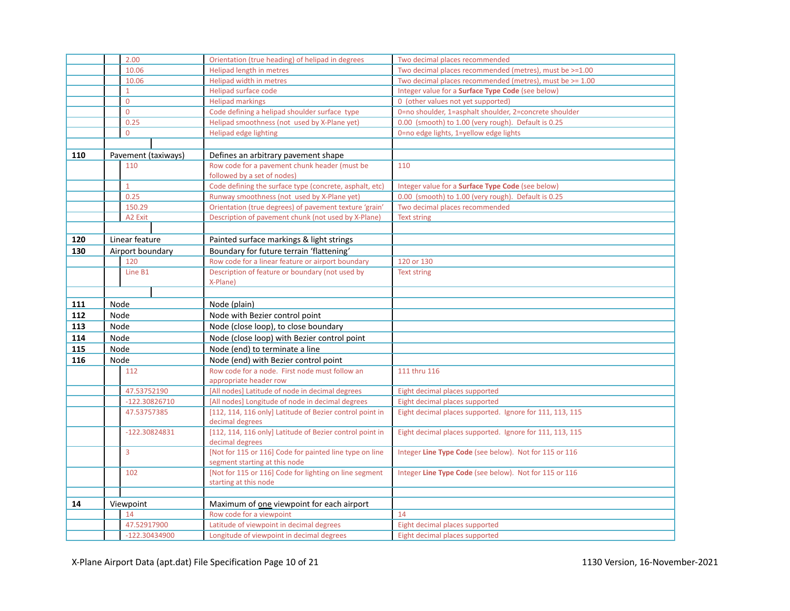|     | 2.00                | Orientation (true heading) of helipad in degrees                                | Two decimal places recommended                           |
|-----|---------------------|---------------------------------------------------------------------------------|----------------------------------------------------------|
|     | 10.06               | Helipad length in metres                                                        | Two decimal places recommended (metres), must be >=1.00  |
|     | 10.06               | Helipad width in metres                                                         | Two decimal places recommended (metres), must be >= 1.00 |
|     | $\mathbf{1}$        | Helipad surface code                                                            | Integer value for a Surface Type Code (see below)        |
|     | $\mathbf 0$         | <b>Helipad markings</b>                                                         | 0 (other values not yet supported)                       |
|     | $\mathbf{0}$        | Code defining a helipad shoulder surface type                                   | 0=no shoulder, 1=asphalt shoulder, 2=concrete shoulder   |
|     | 0.25                | Helipad smoothness (not used by X-Plane yet)                                    | 0.00 (smooth) to 1.00 (very rough). Default is 0.25      |
|     | $\mathbf 0$         | Helipad edge lighting                                                           | 0=no edge lights, 1=yellow edge lights                   |
|     |                     |                                                                                 |                                                          |
| 110 | Pavement (taxiways) | Defines an arbitrary pavement shape                                             |                                                          |
|     | 110                 | Row code for a pavement chunk header (must be                                   | 110                                                      |
|     |                     | followed by a set of nodes)                                                     |                                                          |
|     | $\mathbf{1}$        | Code defining the surface type (concrete, asphalt, etc)                         | Integer value for a <b>Surface Type Code</b> (see below) |
|     | 0.25                | Runway smoothness (not used by X-Plane yet)                                     | 0.00 (smooth) to 1.00 (very rough). Default is 0.25      |
|     | 150.29              | Orientation (true degrees) of pavement texture 'grain'                          | Two decimal places recommended                           |
|     | A2 Exit             | Description of pavement chunk (not used by X-Plane)                             | <b>Text string</b>                                       |
|     |                     |                                                                                 |                                                          |
| 120 | Linear feature      | Painted surface markings & light strings                                        |                                                          |
| 130 | Airport boundary    | Boundary for future terrain 'flattening'                                        |                                                          |
|     | 120                 | Row code for a linear feature or airport boundary                               | 120 or 130                                               |
|     | Line B1             | Description of feature or boundary (not used by                                 | <b>Text string</b>                                       |
|     |                     | X-Plane)                                                                        |                                                          |
|     |                     |                                                                                 |                                                          |
| 111 | Node                | Node (plain)                                                                    |                                                          |
| 112 | Node                | Node with Bezier control point                                                  |                                                          |
| 113 | Node                | Node (close loop), to close boundary                                            |                                                          |
| 114 | Node                | Node (close loop) with Bezier control point                                     |                                                          |
| 115 | Node                | Node (end) to terminate a line                                                  |                                                          |
| 116 | Node                | Node (end) with Bezier control point                                            |                                                          |
|     | 112                 | Row code for a node. First node must follow an                                  | 111 thru 116                                             |
|     |                     | appropriate header row                                                          |                                                          |
|     | 47.53752190         | [All nodes] Latitude of node in decimal degrees                                 | Eight decimal places supported                           |
|     | -122.30826710       | [All nodes] Longitude of node in decimal degrees                                | Eight decimal places supported                           |
|     | 47.53757385         | [112, 114, 116 only] Latitude of Bezier control point in<br>decimal degrees     | Eight decimal places supported. Ignore for 111, 113, 115 |
|     | -122.30824831       | [112, 114, 116 only] Latitude of Bezier control point in                        | Eight decimal places supported. Ignore for 111, 113, 115 |
|     | $\overline{3}$      | decimal degrees<br>[Not for 115 or 116] Code for painted line type on line      | Integer Line Type Code (see below). Not for 115 or 116   |
|     |                     |                                                                                 |                                                          |
|     |                     | segment starting at this node                                                   |                                                          |
|     | 102                 | [Not for 115 or 116] Code for lighting on line segment<br>starting at this node | Integer Line Type Code (see below). Not for 115 or 116   |
|     |                     |                                                                                 |                                                          |
| 14  | Viewpoint           | Maximum of one viewpoint for each airport                                       |                                                          |
|     | 14                  | Row code for a viewpoint                                                        | 14                                                       |
|     | 47.52917900         | Latitude of viewpoint in decimal degrees                                        | Eight decimal places supported                           |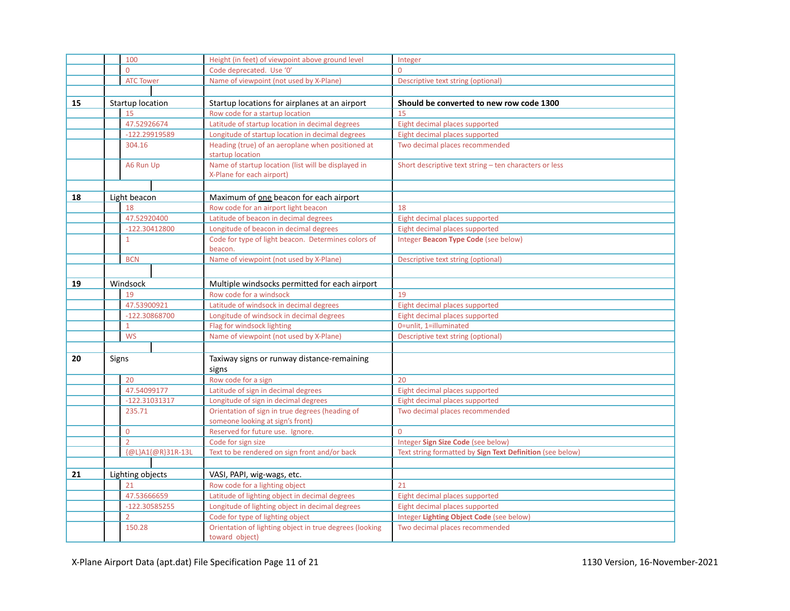|    |       | 100               | Height (in feet) of viewpoint above ground level                                    | Integer                                                   |
|----|-------|-------------------|-------------------------------------------------------------------------------------|-----------------------------------------------------------|
|    |       | $\Omega$          | Code deprecated. Use '0'                                                            | $\overline{0}$                                            |
|    |       | <b>ATC Tower</b>  | Name of viewpoint (not used by X-Plane)                                             | Descriptive text string (optional)                        |
|    |       |                   |                                                                                     |                                                           |
| 15 |       | Startup location  | Startup locations for airplanes at an airport                                       | Should be converted to new row code 1300                  |
|    |       | 15                | Row code for a startup location                                                     | 15                                                        |
|    |       | 47.52926674       | Latitude of startup location in decimal degrees                                     | Eight decimal places supported                            |
|    |       | -122.29919589     | Longitude of startup location in decimal degrees                                    | Eight decimal places supported                            |
|    |       | 304.16            | Heading (true) of an aeroplane when positioned at<br>startup location               | Two decimal places recommended                            |
|    |       | A6 Run Up         | Name of startup location (list will be displayed in<br>X-Plane for each airport)    | Short descriptive text string - ten characters or less    |
|    |       |                   |                                                                                     |                                                           |
| 18 |       | Light beacon      | Maximum of one beacon for each airport                                              |                                                           |
|    |       | 18                | Row code for an airport light beacon                                                | 18                                                        |
|    |       | 47.52920400       | Latitude of beacon in decimal degrees                                               | Eight decimal places supported                            |
|    |       | $-122.30412800$   | Longitude of beacon in decimal degrees                                              | Eight decimal places supported                            |
|    |       | $\mathbf{1}$      | Code for type of light beacon. Determines colors of<br>beacon.                      | Integer Beacon Type Code (see below)                      |
|    |       | <b>BCN</b>        | Name of viewpoint (not used by X-Plane)                                             | Descriptive text string (optional)                        |
|    |       |                   |                                                                                     |                                                           |
| 19 |       | Windsock          | Multiple windsocks permitted for each airport                                       |                                                           |
|    |       | 19                | Row code for a windsock                                                             | 19                                                        |
|    |       | 47.53900921       | Latitude of windsock in decimal degrees                                             | Eight decimal places supported                            |
|    |       | -122.30868700     | Longitude of windsock in decimal degrees                                            | Eight decimal places supported                            |
|    |       | $\mathbf{1}$      | Flag for windsock lighting                                                          | 0=unlit, 1=illuminated                                    |
|    |       | <b>WS</b>         | Name of viewpoint (not used by X-Plane)                                             | Descriptive text string (optional)                        |
|    |       |                   |                                                                                     |                                                           |
| 20 | Signs |                   | Taxiway signs or runway distance-remaining<br>signs                                 |                                                           |
|    |       | 20                | Row code for a sign                                                                 | 20                                                        |
|    |       | 47.54099177       | Latitude of sign in decimal degrees                                                 | Eight decimal places supported                            |
|    |       | $-122.31031317$   | Longitude of sign in decimal degrees                                                | Eight decimal places supported                            |
|    |       | 235.71            | Orientation of sign in true degrees (heading of<br>someone looking at sign's front) | Two decimal places recommended                            |
|    |       | $\mathbf{0}$      | Reserved for future use. Ignore.                                                    | $\Omega$                                                  |
|    |       | $\overline{2}$    | Code for sign size                                                                  | Integer Sign Size Code (see below)                        |
|    |       | {@L}A1{@R}31R-13L | Text to be rendered on sign front and/or back                                       | Text string formatted by Sign Text Definition (see below) |
|    |       |                   |                                                                                     |                                                           |
| 21 |       | Lighting objects  | VASI, PAPI, wig-wags, etc.                                                          |                                                           |
|    |       | 21                | Row code for a lighting object                                                      | 21                                                        |
|    |       | 47.53666659       | Latitude of lighting object in decimal degrees                                      | Eight decimal places supported                            |
|    |       | -122.30585255     | Longitude of lighting object in decimal degrees                                     | Eight decimal places supported                            |
|    |       | $\overline{2}$    | Code for type of lighting object                                                    | Integer Lighting Object Code (see below)                  |
|    |       | 150.28            | Orientation of lighting object in true degrees (looking<br>toward object)           | Two decimal places recommended                            |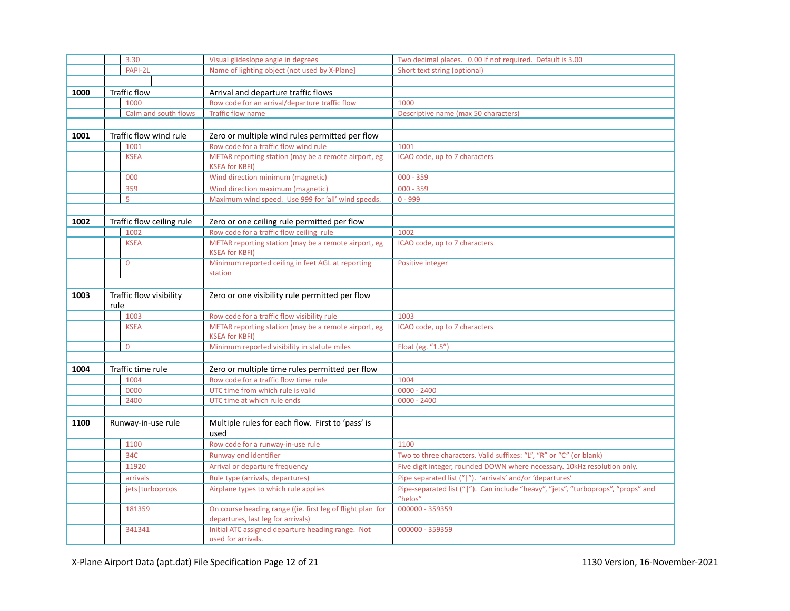|      |      | 3.30                      | Visual glideslope angle in degrees                                                               | Two decimal places. 0.00 if not required. Default is 3.00                                    |
|------|------|---------------------------|--------------------------------------------------------------------------------------------------|----------------------------------------------------------------------------------------------|
|      |      | PAPI-2L                   | Name of lighting object (not used by X-Plane)                                                    | Short text string (optional)                                                                 |
|      |      |                           |                                                                                                  |                                                                                              |
| 1000 |      | <b>Traffic flow</b>       | Arrival and departure traffic flows                                                              |                                                                                              |
|      |      | 1000                      | Row code for an arrival/departure traffic flow                                                   | 1000                                                                                         |
|      |      | Calm and south flows      | <b>Traffic flow name</b>                                                                         | Descriptive name (max 50 characters)                                                         |
|      |      |                           |                                                                                                  |                                                                                              |
| 1001 |      | Traffic flow wind rule    | Zero or multiple wind rules permitted per flow                                                   |                                                                                              |
|      |      | 1001                      | Row code for a traffic flow wind rule                                                            | 1001                                                                                         |
|      |      | <b>KSEA</b>               | METAR reporting station (may be a remote airport, eg<br><b>KSEA for KBFI)</b>                    | ICAO code, up to 7 characters                                                                |
|      |      | 000                       | Wind direction minimum (magnetic)                                                                | $000 - 359$                                                                                  |
|      |      | 359                       | Wind direction maximum (magnetic)                                                                | $000 - 359$                                                                                  |
|      |      | 5                         | Maximum wind speed. Use 999 for 'all' wind speeds.                                               | $0 - 999$                                                                                    |
|      |      |                           |                                                                                                  |                                                                                              |
| 1002 |      | Traffic flow ceiling rule | Zero or one ceiling rule permitted per flow                                                      |                                                                                              |
|      |      | 1002                      | Row code for a traffic flow ceiling rule                                                         | 1002                                                                                         |
|      |      | <b>KSEA</b>               | METAR reporting station (may be a remote airport, eg<br><b>KSEA for KBFI)</b>                    | ICAO code, up to 7 characters                                                                |
|      |      | $\Omega$                  | Minimum reported ceiling in feet AGL at reporting<br>station                                     | Positive integer                                                                             |
|      |      |                           |                                                                                                  |                                                                                              |
| 1003 | rule | Traffic flow visibility   | Zero or one visibility rule permitted per flow                                                   |                                                                                              |
|      |      | 1003                      | Row code for a traffic flow visibility rule                                                      | 1003                                                                                         |
|      |      | <b>KSEA</b>               | METAR reporting station (may be a remote airport, eg<br><b>KSEA for KBFI)</b>                    | ICAO code, up to 7 characters                                                                |
|      |      | $\overline{0}$            | Minimum reported visibility in statute miles                                                     | Float (eg. "1.5")                                                                            |
|      |      |                           |                                                                                                  |                                                                                              |
| 1004 |      | Traffic time rule         | Zero or multiple time rules permitted per flow                                                   |                                                                                              |
|      |      | 1004                      | Row code for a traffic flow time rule                                                            | 1004                                                                                         |
|      |      | 0000                      | UTC time from which rule is valid                                                                | $0000 - 2400$                                                                                |
|      |      | 2400                      | UTC time at which rule ends                                                                      | $0000 - 2400$                                                                                |
|      |      |                           |                                                                                                  |                                                                                              |
| 1100 |      | Runway-in-use rule        | Multiple rules for each flow. First to 'pass' is<br>used                                         |                                                                                              |
|      |      | 1100                      | Row code for a runway-in-use rule                                                                | 1100                                                                                         |
|      |      | 34C                       | Runway end identifier                                                                            | Two to three characters. Valid suffixes: "L", "R" or "C" (or blank)                          |
|      |      | 11920                     | Arrival or departure frequency                                                                   | Five digit integer, rounded DOWN where necessary. 10kHz resolution only.                     |
|      |      | arrivals                  | Rule type (arrivals, departures)                                                                 | Pipe separated list (" "). 'arrivals' and/or 'departures'                                    |
|      |      | jets   turboprops         | Airplane types to which rule applies                                                             | Pipe-separated list (" "). Can include "heavy", "jets", "turboprops", "props" and<br>"helos" |
|      |      | 181359                    | On course heading range ((ie. first leg of flight plan for<br>departures, last leg for arrivals) | 000000 - 359359                                                                              |
|      |      | 341341                    | Initial ATC assigned departure heading range. Not<br>used for arrivals.                          | 000000 - 359359                                                                              |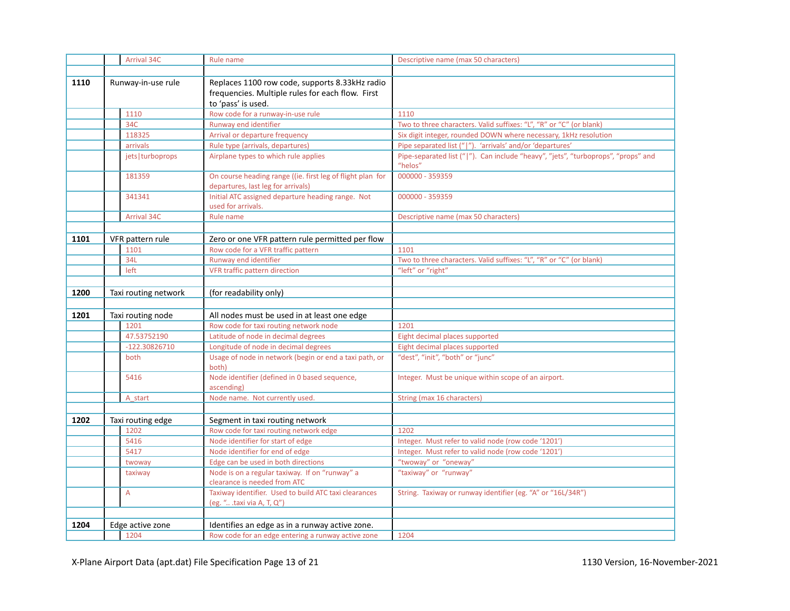|      | Arrival 34C          | Rule name                                                                                                                | Descriptive name (max 50 characters)                                                         |
|------|----------------------|--------------------------------------------------------------------------------------------------------------------------|----------------------------------------------------------------------------------------------|
|      |                      |                                                                                                                          |                                                                                              |
| 1110 | Runway-in-use rule   | Replaces 1100 row code, supports 8.33kHz radio<br>frequencies. Multiple rules for each flow. First<br>to 'pass' is used. |                                                                                              |
|      | 1110                 | Row code for a runway-in-use rule                                                                                        | 1110                                                                                         |
|      | 34C                  | Runway end identifier                                                                                                    | Two to three characters. Valid suffixes: "L", "R" or "C" (or blank)                          |
|      | 118325               | Arrival or departure frequency                                                                                           | Six digit integer, rounded DOWN where necessary, 1kHz resolution                             |
|      | arrivals             | Rule type (arrivals, departures)                                                                                         | Pipe separated list (" "). 'arrivals' and/or 'departures'                                    |
|      | jets   turboprops    | Airplane types to which rule applies                                                                                     | Pipe-separated list (" "). Can include "heavy", "jets", "turboprops", "props" and<br>"helos" |
|      | 181359               | On course heading range ((ie. first leg of flight plan for<br>departures, last leg for arrivals)                         | 000000 - 359359                                                                              |
|      | 341341               | Initial ATC assigned departure heading range. Not<br>used for arrivals.                                                  | 000000 - 359359                                                                              |
|      | Arrival 34C          | Rule name                                                                                                                | Descriptive name (max 50 characters)                                                         |
|      |                      |                                                                                                                          |                                                                                              |
| 1101 | VFR pattern rule     | Zero or one VFR pattern rule permitted per flow                                                                          |                                                                                              |
|      | 1101                 | Row code for a VFR traffic pattern                                                                                       | 1101                                                                                         |
|      | 34L                  | Runway end identifier                                                                                                    | Two to three characters. Valid suffixes: "L", "R" or "C" (or blank)                          |
|      | left                 | VFR traffic pattern direction                                                                                            | "left" or "right"                                                                            |
|      |                      |                                                                                                                          |                                                                                              |
| 1200 | Taxi routing network | (for readability only)                                                                                                   |                                                                                              |
| 1201 | Taxi routing node    | All nodes must be used in at least one edge                                                                              |                                                                                              |
|      | 1201                 | Row code for taxi routing network node                                                                                   | 1201                                                                                         |
|      | 47.53752190          | Latitude of node in decimal degrees                                                                                      | Eight decimal places supported                                                               |
|      | $-122.30826710$      | Longitude of node in decimal degrees                                                                                     | Eight decimal places supported                                                               |
|      | both                 | Usage of node in network (begin or end a taxi path, or<br>both)                                                          | "dest", "init", "both" or "junc"                                                             |
|      | 5416                 | Node identifier (defined in 0 based sequence,<br>ascending)                                                              | Integer. Must be unique within scope of an airport.                                          |
|      | A start              | Node name. Not currently used.                                                                                           | String (max 16 characters)                                                                   |
|      |                      |                                                                                                                          |                                                                                              |
| 1202 | Taxi routing edge    | Segment in taxi routing network                                                                                          |                                                                                              |
|      | 1202                 | Row code for taxi routing network edge                                                                                   | 1202                                                                                         |
|      | 5416                 | Node identifier for start of edge                                                                                        | Integer. Must refer to valid node (row code '1201')                                          |
|      | 5417                 | Node identifier for end of edge                                                                                          | Integer. Must refer to valid node (row code '1201')                                          |
|      | twoway               | Edge can be used in both directions                                                                                      | "twoway" or "oneway"                                                                         |
|      | taxiway              | Node is on a regular taxiway. If on "runway" a                                                                           | "taxiway" or "runway"                                                                        |
|      |                      | clearance is needed from ATC                                                                                             |                                                                                              |
|      | $\overline{A}$       | Taxiway identifier. Used to build ATC taxi clearances                                                                    | String. Taxiway or runway identifier (eg. "A" or "16L/34R")                                  |
|      |                      | (eg. " .taxi via A, T, Q")                                                                                               |                                                                                              |
|      |                      |                                                                                                                          |                                                                                              |
| 1204 | Edge active zone     | Identifies an edge as in a runway active zone.                                                                           |                                                                                              |
|      | 1204                 | Row code for an edge entering a runway active zone                                                                       | 1204                                                                                         |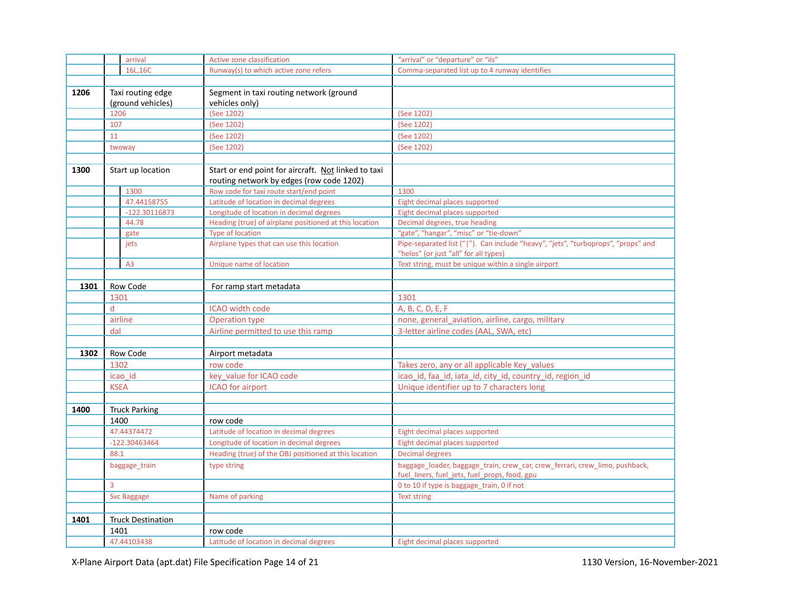|      |                                        | arrival                  | Active zone classification                                                                      | "arrival" or "departure" or "ils"                                                                                            |
|------|----------------------------------------|--------------------------|-------------------------------------------------------------------------------------------------|------------------------------------------------------------------------------------------------------------------------------|
|      |                                        | 16L,16C                  | Runway(s) to which active zone refers                                                           | Comma-separated list up to 4 runway identifies                                                                               |
|      |                                        |                          |                                                                                                 |                                                                                                                              |
| 1206 | Taxi routing edge<br>(ground vehicles) |                          | Segment in taxi routing network (ground<br>vehicles only)                                       |                                                                                                                              |
|      | 1206                                   |                          | (See 1202)                                                                                      | (See 1202)                                                                                                                   |
|      | 107                                    |                          | (See 1202)                                                                                      | (See 1202)                                                                                                                   |
|      | 11                                     |                          | (See 1202)                                                                                      | (See 1202)                                                                                                                   |
|      |                                        | twoway                   | (See 1202)                                                                                      | (See 1202)                                                                                                                   |
|      |                                        |                          |                                                                                                 |                                                                                                                              |
| 1300 |                                        | Start up location        | Start or end point for aircraft. Not linked to taxi<br>routing network by edges (row code 1202) |                                                                                                                              |
|      |                                        | 1300                     | Row code for taxi route start/end point                                                         | 1300                                                                                                                         |
|      |                                        | 47.44158755              | Latitude of location in decimal degrees                                                         | Eight decimal places supported                                                                                               |
|      |                                        | $-122.30116873$          | Longitude of location in decimal degrees                                                        | Eight decimal places supported                                                                                               |
|      |                                        | 44.78                    | Heading (true) of airplane positioned at this location                                          | Decimal degrees, true heading                                                                                                |
|      |                                        | gate                     | Type of location                                                                                | "gate", "hangar", "misc" or "tie-down"                                                                                       |
|      |                                        | jets                     | Airplane types that can use this location                                                       | Pipe-separated list (" "). Can include "heavy", "jets", "turboprops", "props" and                                            |
|      |                                        |                          |                                                                                                 | "helos" (or just "all" for all types)                                                                                        |
|      |                                        | A <sub>3</sub>           | Unique name of location                                                                         | Text string, must be unique within a single airport                                                                          |
|      |                                        |                          |                                                                                                 |                                                                                                                              |
| 1301 |                                        | Row Code                 | For ramp start metadata                                                                         |                                                                                                                              |
|      | 1301                                   |                          |                                                                                                 | 1301                                                                                                                         |
|      | d                                      |                          | ICAO width code                                                                                 | A, B, C, D, E, F                                                                                                             |
|      |                                        | airline                  | Operation type                                                                                  | none, general aviation, airline, cargo, military                                                                             |
|      | dal                                    |                          | Airline permitted to use this ramp                                                              | 3-letter airline codes (AAL, SWA, etc)                                                                                       |
|      |                                        |                          |                                                                                                 |                                                                                                                              |
| 1302 |                                        | Row Code                 | Airport metadata                                                                                |                                                                                                                              |
|      | 1302                                   |                          | row code                                                                                        | Takes zero, any or all applicable Key_values                                                                                 |
|      |                                        | icao id                  | key value for ICAO code                                                                         | icao id, faa id, iata id, city id, country id, region id                                                                     |
|      | <b>KSEA</b>                            |                          | <b>ICAO</b> for airport                                                                         | Unique identifier up to 7 characters long                                                                                    |
|      |                                        |                          |                                                                                                 |                                                                                                                              |
| 1400 |                                        | <b>Truck Parking</b>     |                                                                                                 |                                                                                                                              |
|      | 1400                                   |                          | row code                                                                                        |                                                                                                                              |
|      |                                        | 47.44374472              | Latitude of location in decimal degrees                                                         | Eight decimal places supported                                                                                               |
|      |                                        | -122.30463464            | Longitude of location in decimal degrees                                                        | Eight decimal places supported                                                                                               |
|      | 88.1                                   |                          | Heading (true) of the OBJ positioned at this location                                           | <b>Decimal degrees</b>                                                                                                       |
|      |                                        | baggage_train            | type string                                                                                     | baggage_loader, baggage_train, crew_car, crew_ferrari, crew_limo, pushback,<br>fuel_liners, fuel_jets, fuel_props, food, gpu |
|      | 3                                      |                          |                                                                                                 | 0 to 10 if type is baggage_train, 0 if not                                                                                   |
|      |                                        | <b>Svc Baggage</b>       | Name of parking                                                                                 | <b>Text string</b>                                                                                                           |
|      |                                        |                          |                                                                                                 |                                                                                                                              |
| 1401 |                                        | <b>Truck Destination</b> |                                                                                                 |                                                                                                                              |
|      | 1401                                   |                          | row code                                                                                        |                                                                                                                              |
|      |                                        | 47.44103438              | Latitude of location in decimal degrees                                                         | Eight decimal places supported                                                                                               |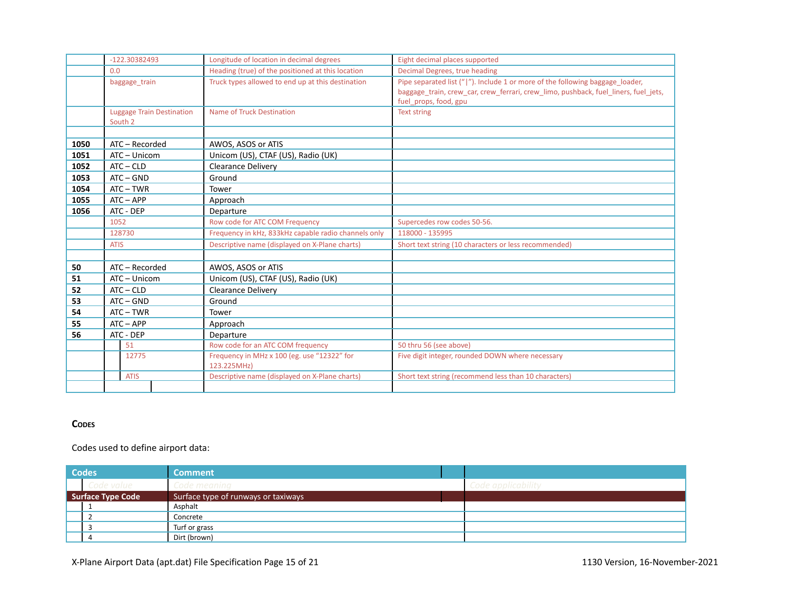|      | $-122.30382493$                             | Longitude of location in decimal degrees                   | Eight decimal places supported                                                                                                                                                                |
|------|---------------------------------------------|------------------------------------------------------------|-----------------------------------------------------------------------------------------------------------------------------------------------------------------------------------------------|
|      | 0.0                                         | Heading (true) of the positioned at this location          | Decimal Degrees, true heading                                                                                                                                                                 |
|      | baggage_train                               | Truck types allowed to end up at this destination          | Pipe separated list (" "). Include 1 or more of the following baggage loader,<br>baggage train, crew car, crew ferrari, crew limo, pushback, fuel liners, fuel jets,<br>fuel props, food, gpu |
|      | <b>Luggage Train Destination</b><br>South 2 | Name of Truck Destination                                  | <b>Text string</b>                                                                                                                                                                            |
|      |                                             |                                                            |                                                                                                                                                                                               |
| 1050 | ATC - Recorded                              | AWOS, ASOS or ATIS                                         |                                                                                                                                                                                               |
| 1051 | ATC - Unicom                                | Unicom (US), CTAF (US), Radio (UK)                         |                                                                                                                                                                                               |
| 1052 | $ATC - CLD$                                 | <b>Clearance Deliverv</b>                                  |                                                                                                                                                                                               |
| 1053 | $ATC - GND$                                 | Ground                                                     |                                                                                                                                                                                               |
| 1054 | $ATC-TWR$                                   | Tower                                                      |                                                                                                                                                                                               |
| 1055 | $ATC - APP$                                 | Approach                                                   |                                                                                                                                                                                               |
| 1056 | ATC - DEP                                   | Departure                                                  |                                                                                                                                                                                               |
|      | 1052                                        | Row code for ATC COM Frequency                             | Supercedes row codes 50-56.                                                                                                                                                                   |
|      | 128730                                      | Frequency in kHz, 833kHz capable radio channels only       | 118000 - 135995                                                                                                                                                                               |
|      | <b>ATIS</b>                                 | Descriptive name (displayed on X-Plane charts)             | Short text string (10 characters or less recommended)                                                                                                                                         |
|      |                                             |                                                            |                                                                                                                                                                                               |
| 50   | ATC - Recorded                              | AWOS, ASOS or ATIS                                         |                                                                                                                                                                                               |
| 51   | ATC - Unicom                                | Unicom (US), CTAF (US), Radio (UK)                         |                                                                                                                                                                                               |
| 52   | $ATC - CLD$                                 | <b>Clearance Delivery</b>                                  |                                                                                                                                                                                               |
| 53   | $ATC - GND$                                 | Ground                                                     |                                                                                                                                                                                               |
| 54   | $ATC-TWR$                                   | Tower                                                      |                                                                                                                                                                                               |
| 55   | $ATC - APP$                                 | Approach                                                   |                                                                                                                                                                                               |
| 56   | ATC - DEP                                   | Departure                                                  |                                                                                                                                                                                               |
|      | 51                                          | Row code for an ATC COM frequency                          | 50 thru 56 (see above)                                                                                                                                                                        |
|      | 12775                                       | Frequency in MHz x 100 (eg. use "12322" for<br>123.225MHz) | Five digit integer, rounded DOWN where necessary                                                                                                                                              |
|      | <b>ATIS</b>                                 | Descriptive name (displayed on X-Plane charts)             | Short text string (recommend less than 10 characters)                                                                                                                                         |
|      |                                             |                                                            |                                                                                                                                                                                               |

# **CODES**

Codes used to define airport data:

| <b>Codes</b>      |            | <b>Comment</b>                      |                    |
|-------------------|------------|-------------------------------------|--------------------|
|                   | Code value | Code meaning                        | Code applicability |
| Surface Type Code |            | Surface type of runways or taxiways |                    |
|                   |            | Asphalt                             |                    |
|                   |            | Concrete                            |                    |
|                   |            | Turf or grass                       |                    |
|                   | 4          | Dirt (brown)                        |                    |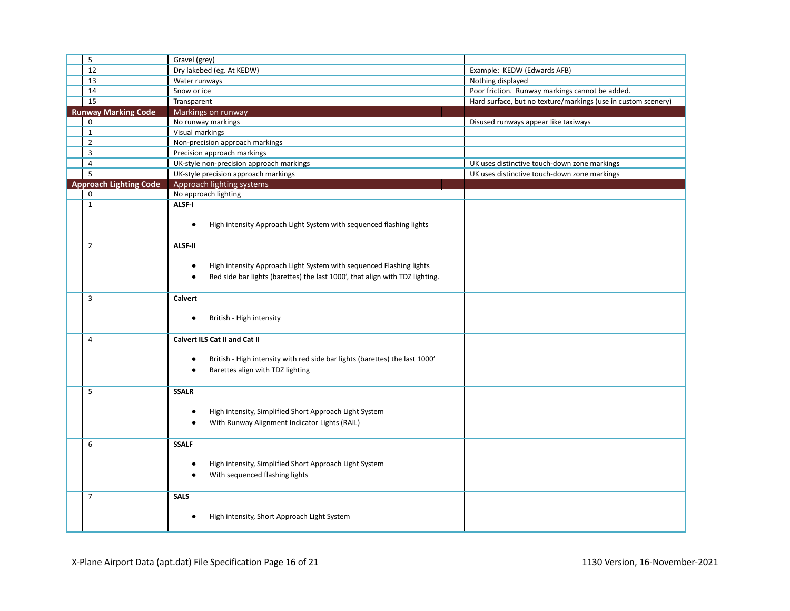| 5                             | Gravel (grey)                                                                             |                                                               |
|-------------------------------|-------------------------------------------------------------------------------------------|---------------------------------------------------------------|
| 12                            | Dry lakebed (eg. At KEDW)                                                                 | Example: KEDW (Edwards AFB)                                   |
| 13                            | Water runways                                                                             | Nothing displayed                                             |
| 14                            | Snow or ice                                                                               | Poor friction. Runway markings cannot be added.               |
| 15                            | Transparent                                                                               | Hard surface, but no texture/markings (use in custom scenery) |
| <b>Runway Marking Code</b>    | Markings on runway                                                                        |                                                               |
| $\mathbf 0$                   | No runway markings                                                                        | Disused runways appear like taxiways                          |
| $\mathbf{1}$                  | Visual markings                                                                           |                                                               |
| $\overline{2}$                | Non-precision approach markings                                                           |                                                               |
| 3                             | Precision approach markings                                                               |                                                               |
| $\overline{4}$                | UK-style non-precision approach markings                                                  | UK uses distinctive touch-down zone markings                  |
| $\overline{5}$                | UK-style precision approach markings                                                      | UK uses distinctive touch-down zone markings                  |
| <b>Approach Lighting Code</b> | Approach lighting systems                                                                 |                                                               |
| $\mathbf 0$                   | No approach lighting                                                                      |                                                               |
| $\mathbf{1}$                  | ALSF-I                                                                                    |                                                               |
|                               |                                                                                           |                                                               |
|                               | High intensity Approach Light System with sequenced flashing lights<br>$\bullet$          |                                                               |
| $\overline{2}$                | <b>ALSF-II</b>                                                                            |                                                               |
|                               |                                                                                           |                                                               |
|                               | High intensity Approach Light System with sequenced Flashing lights<br>$\bullet$          |                                                               |
|                               | Red side bar lights (barettes) the last 1000', that align with TDZ lighting.<br>$\bullet$ |                                                               |
|                               |                                                                                           |                                                               |
| 3                             | Calvert                                                                                   |                                                               |
|                               |                                                                                           |                                                               |
|                               | British - High intensity<br>$\bullet$                                                     |                                                               |
|                               |                                                                                           |                                                               |
| 4                             | Calvert ILS Cat II and Cat II                                                             |                                                               |
|                               |                                                                                           |                                                               |
|                               | British - High intensity with red side bar lights (barettes) the last 1000'<br>$\bullet$  |                                                               |
|                               | Barettes align with TDZ lighting<br>$\bullet$                                             |                                                               |
|                               |                                                                                           |                                                               |
| 5                             | <b>SSALR</b>                                                                              |                                                               |
|                               |                                                                                           |                                                               |
|                               | High intensity, Simplified Short Approach Light System<br>$\bullet$                       |                                                               |
|                               | With Runway Alignment Indicator Lights (RAIL)<br>$\bullet$                                |                                                               |
| 6                             | <b>SSALF</b>                                                                              |                                                               |
|                               |                                                                                           |                                                               |
|                               | High intensity, Simplified Short Approach Light System<br>$\bullet$                       |                                                               |
|                               | With sequenced flashing lights<br>٠                                                       |                                                               |
|                               |                                                                                           |                                                               |
| $\overline{7}$                | <b>SALS</b>                                                                               |                                                               |
|                               |                                                                                           |                                                               |
|                               | High intensity, Short Approach Light System<br>٠                                          |                                                               |
|                               |                                                                                           |                                                               |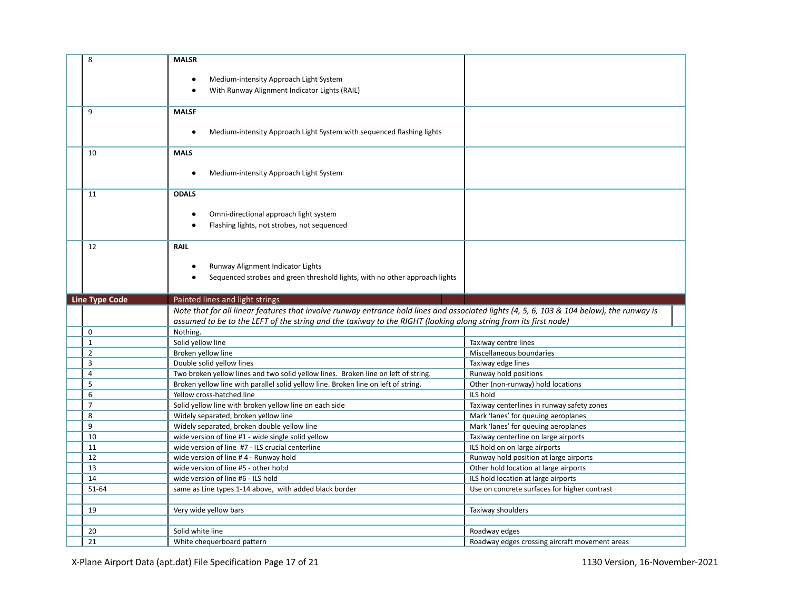| 8<br><b>MALSR</b><br>٠<br>9<br><b>MALSF</b><br>٠<br>10<br><b>MALS</b><br><b>ODALS</b><br>11 | Medium-intensity Approach Light System<br>With Runway Alignment Indicator Lights (RAIL)<br>Medium-intensity Approach Light System with sequenced flashing lights<br>Medium-intensity Approach Light System |                                              |
|---------------------------------------------------------------------------------------------|------------------------------------------------------------------------------------------------------------------------------------------------------------------------------------------------------------|----------------------------------------------|
|                                                                                             |                                                                                                                                                                                                            |                                              |
|                                                                                             |                                                                                                                                                                                                            |                                              |
|                                                                                             |                                                                                                                                                                                                            |                                              |
|                                                                                             |                                                                                                                                                                                                            |                                              |
|                                                                                             |                                                                                                                                                                                                            |                                              |
|                                                                                             |                                                                                                                                                                                                            |                                              |
|                                                                                             |                                                                                                                                                                                                            |                                              |
|                                                                                             |                                                                                                                                                                                                            |                                              |
|                                                                                             |                                                                                                                                                                                                            |                                              |
|                                                                                             |                                                                                                                                                                                                            |                                              |
|                                                                                             |                                                                                                                                                                                                            |                                              |
|                                                                                             |                                                                                                                                                                                                            |                                              |
|                                                                                             |                                                                                                                                                                                                            |                                              |
| $\bullet$                                                                                   | Omni-directional approach light system                                                                                                                                                                     |                                              |
|                                                                                             | Flashing lights, not strobes, not sequenced                                                                                                                                                                |                                              |
|                                                                                             |                                                                                                                                                                                                            |                                              |
| 12<br><b>RAIL</b>                                                                           |                                                                                                                                                                                                            |                                              |
|                                                                                             |                                                                                                                                                                                                            |                                              |
|                                                                                             | Runway Alignment Indicator Lights                                                                                                                                                                          |                                              |
|                                                                                             |                                                                                                                                                                                                            |                                              |
|                                                                                             | Sequenced strobes and green threshold lights, with no other approach lights                                                                                                                                |                                              |
|                                                                                             |                                                                                                                                                                                                            |                                              |
| <b>Line Type Code</b>                                                                       |                                                                                                                                                                                                            |                                              |
| Painted lines and light strings                                                             | Note that for all linear features that involve runway entrance hold lines and associated lights (4, 5, 6, 103 & 104 below), the runway is                                                                  |                                              |
|                                                                                             | assumed to be to the LEFT of the string and the taxiway to the RIGHT (looking along string from its first node)                                                                                            |                                              |
| $\mathbf 0$<br>Nothing.                                                                     |                                                                                                                                                                                                            |                                              |
| $\mathbf 1$<br>Solid yellow line                                                            |                                                                                                                                                                                                            | Taxiway centre lines                         |
| $\overline{2}$<br>Broken yellow line                                                        |                                                                                                                                                                                                            | Miscellaneous boundaries                     |
| $\overline{3}$<br>Double solid yellow lines                                                 |                                                                                                                                                                                                            | Taxiway edge lines                           |
| 4                                                                                           | Two broken yellow lines and two solid yellow lines. Broken line on left of string.                                                                                                                         | Runway hold positions                        |
| 5                                                                                           | Broken yellow line with parallel solid yellow line. Broken line on left of string.                                                                                                                         | Other (non-runway) hold locations            |
| 6<br>Yellow cross-hatched line                                                              | ILS hold                                                                                                                                                                                                   |                                              |
| $\overline{7}$                                                                              | Solid yellow line with broken yellow line on each side                                                                                                                                                     | Taxiway centerlines in runway safety zones   |
| 8<br>Widely separated, broken yellow line                                                   |                                                                                                                                                                                                            | Mark 'lanes' for queuing aeroplanes          |
| 9                                                                                           | Widely separated, broken double yellow line                                                                                                                                                                | Mark 'lanes' for queuing aeroplanes          |
| 10                                                                                          | wide version of line #1 - wide single solid yellow                                                                                                                                                         | Taxiway centerline on large airports         |
| 11                                                                                          | wide version of line #7 - ILS crucial centerline                                                                                                                                                           | ILS hold on on large airports                |
| 12<br>wide version of line #4 - Runway hold                                                 |                                                                                                                                                                                                            | Runway hold position at large airports       |
| 13<br>wide version of line #5 - other hol;d                                                 |                                                                                                                                                                                                            | Other hold location at large airports        |
| 14<br>wide version of line #6 - ILS hold                                                    |                                                                                                                                                                                                            | ILS hold location at large airports          |
| 51-64                                                                                       | same as Line types 1-14 above, with added black border                                                                                                                                                     | Use on concrete surfaces for higher contrast |
|                                                                                             |                                                                                                                                                                                                            |                                              |
| 19<br>Very wide yellow bars                                                                 |                                                                                                                                                                                                            | Taxiway shoulders                            |
| 20<br>Solid white line                                                                      |                                                                                                                                                                                                            | Roadway edges                                |
|                                                                                             |                                                                                                                                                                                                            |                                              |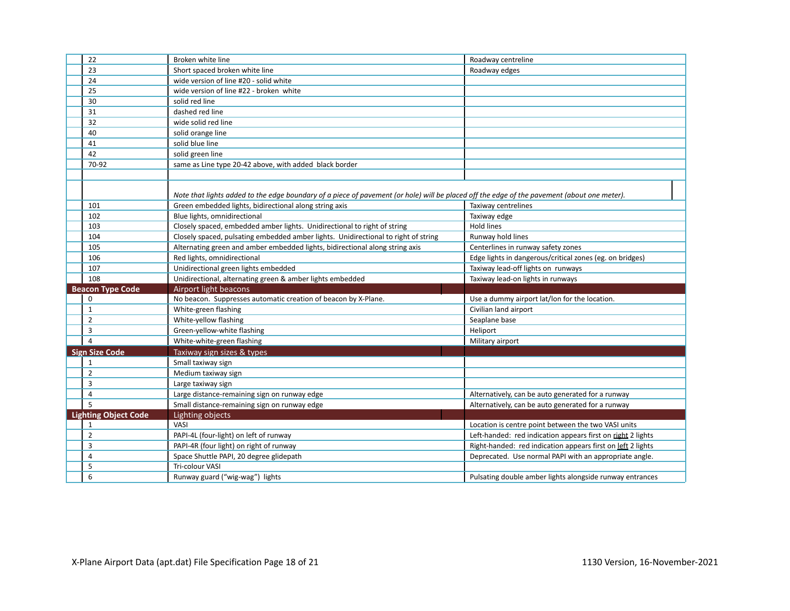| 22                          | Broken white line                                                                                                                           | Roadway centreline                                          |
|-----------------------------|---------------------------------------------------------------------------------------------------------------------------------------------|-------------------------------------------------------------|
| 23                          | Short spaced broken white line                                                                                                              | Roadway edges                                               |
| 24                          | wide version of line #20 - solid white                                                                                                      |                                                             |
| 25                          | wide version of line #22 - broken white                                                                                                     |                                                             |
| 30                          | solid red line                                                                                                                              |                                                             |
| 31                          | dashed red line                                                                                                                             |                                                             |
| 32                          | wide solid red line                                                                                                                         |                                                             |
| 40                          | solid orange line                                                                                                                           |                                                             |
| 41                          | solid blue line                                                                                                                             |                                                             |
| 42                          | solid green line                                                                                                                            |                                                             |
| 70-92                       | same as Line type 20-42 above, with added black border                                                                                      |                                                             |
|                             |                                                                                                                                             |                                                             |
|                             | Note that lights added to the edge boundary of a piece of pavement (or hole) will be placed off the edge of the pavement (about one meter). |                                                             |
| 101                         | Green embedded lights, bidirectional along string axis                                                                                      | Taxiway centrelines                                         |
| 102                         | Blue lights, omnidirectional                                                                                                                | Taxiway edge                                                |
| 103                         | Closely spaced, embedded amber lights. Unidirectional to right of string                                                                    | Hold lines                                                  |
| 104                         | Closely spaced, pulsating embedded amber lights. Unidirectional to right of string                                                          | Runway hold lines                                           |
| 105                         | Alternating green and amber embedded lights, bidirectional along string axis                                                                | Centerlines in runway safety zones                          |
| 106                         | Red lights, omnidirectional                                                                                                                 | Edge lights in dangerous/critical zones (eg. on bridges)    |
| 107                         | Unidirectional green lights embedded                                                                                                        | Taxiway lead-off lights on runways                          |
| 108                         | Unidirectional, alternating green & amber lights embedded                                                                                   | Taxiway lead-on lights in runways                           |
| <b>Beacon Type Code</b>     | Airport light beacons                                                                                                                       |                                                             |
| $\mathbf 0$                 | No beacon. Suppresses automatic creation of beacon by X-Plane.                                                                              | Use a dummy airport lat/lon for the location.               |
| $\mathbf{1}$                | White-green flashing                                                                                                                        | Civilian land airport                                       |
| 2                           | White-yellow flashing                                                                                                                       | Seaplane base                                               |
| 3                           | Green-yellow-white flashing                                                                                                                 | Heliport                                                    |
| $\overline{4}$              | White-white-green flashing                                                                                                                  | Military airport                                            |
| <b>Sign Size Code</b>       | Taxiway sign sizes & types                                                                                                                  |                                                             |
| $\mathbf{1}$                | Small taxiway sign                                                                                                                          |                                                             |
| $\overline{2}$              | Medium taxiway sign                                                                                                                         |                                                             |
| 3                           | Large taxiway sign                                                                                                                          |                                                             |
| $\overline{4}$              | Large distance-remaining sign on runway edge                                                                                                | Alternatively, can be auto generated for a runway           |
| 5                           | Small distance-remaining sign on runway edge                                                                                                | Alternatively, can be auto generated for a runway           |
| <b>Lighting Object Code</b> | Lighting objects                                                                                                                            |                                                             |
| $\mathbf{1}$                | VASI                                                                                                                                        | Location is centre point between the two VASI units         |
| $\overline{2}$              | PAPI-4L (four-light) on left of runway                                                                                                      | Left-handed: red indication appears first on right 2 lights |
| 3                           | PAPI-4R (four light) on right of runway                                                                                                     | Right-handed: red indication appears first on left 2 lights |
| 4                           | Space Shuttle PAPI, 20 degree glidepath                                                                                                     | Deprecated. Use normal PAPI with an appropriate angle.      |
| 5                           | Tri-colour VASI                                                                                                                             |                                                             |
| 6                           | Runway guard ("wig-wag") lights                                                                                                             | Pulsating double amber lights alongside runway entrances    |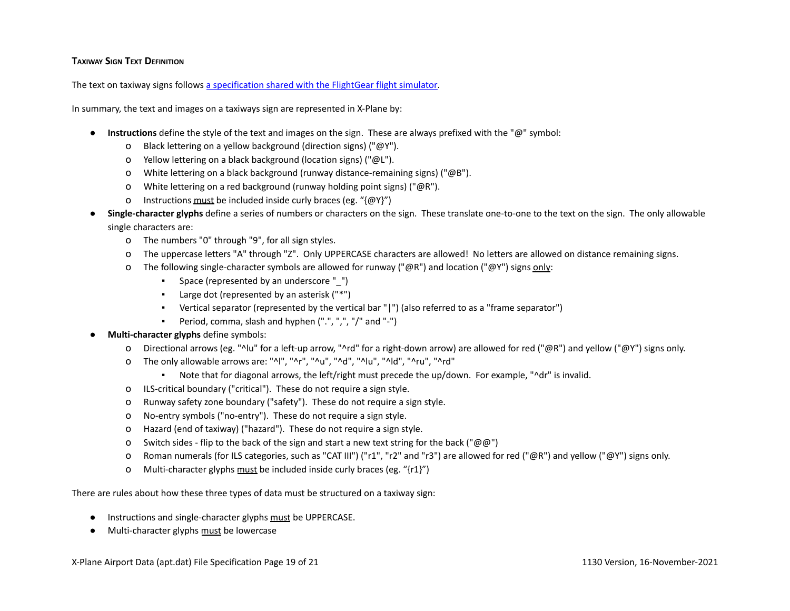### **TAXIWAY SIGN TEXT DEFINITION**

The text on taxiway signs follows a [specification](http://wiki.flightgear.org/Sign_Specification_Proposal) shared with the FlightGear flight simulator.

In summary, the text and images on a taxiways sign are represented in X-Plane by:

- **Instructions** define the style of the text and images on the sign. These are always prefixed with the "@" symbol:
	- o Black lettering on a yellow background (direction signs) ("@Y").
	- o Yellow lettering on a black background (location signs) ("@L").
	- o White lettering on a black background (runway distance-remaining signs) ("@B").
	- o White lettering on a red background (runway holding point signs) ("@R").
	- o Instructions must be included inside curly braces (eg. " $\{\omega Y\}$ ")
- **Single-character glyphs** define a series of numbers or characters on the sign. These translate one-to-one to the text on the sign. The only allowable single characters are:
	- o The numbers "0" through "9", for all sign styles.
	- o The uppercase letters "A" through "Z". Only UPPERCASE characters are allowed! No letters are allowed on distance remaining signs.
	- o The following single-character symbols are allowed for runway (" $@R"$ ) and location (" $@Y"$ ) signs only:
		- Space (represented by an underscore "\_")
		- Large dot (represented by an asterisk ("\*")
		- Vertical separator (represented by the vertical bar "|") (also referred to as a "frame separator")
		- Period, comma, slash and hyphen (".", ",", "/" and "-")
- **Multi-character glyphs** define symbols:
	- o Directional arrows (eg. "^lu" for a left-up arrow, "^rd" for a right-down arrow) are allowed for red ("@R") and yellow ("@Y") signs only.
	- o The only allowable arrows are: "^l", "^r", "^u", "^d", "^lu", "^ld", "^ru", "^rd"
		- Note that for diagonal arrows, the left/right must precede the up/down. For example, "^dr" is invalid.
	- o ILS-critical boundary ("critical"). These do not require a sign style.
	- o Runway safety zone boundary ("safety"). These do not require a sign style.
	- o No-entry symbols ("no-entry"). These do not require a sign style.
	- o Hazard (end of taxiway) ("hazard"). These do not require a sign style.
	- O Switch sides flip to the back of the sign and start a new text string for the back (" $@@"$ )
	- o Roman numerals (for ILS categories, such as "CAT III") ("r1", "r2" and "r3") are allowed for red ("@R") and yellow ("@Y") signs only.
	- o Multi-character glyphs must be included inside curly braces (eg. "{r1}")

There are rules about how these three types of data must be structured on a taxiway sign:

- Instructions and single-character glyphs must be UPPERCASE.
- Multi-character glyphs must be lowercase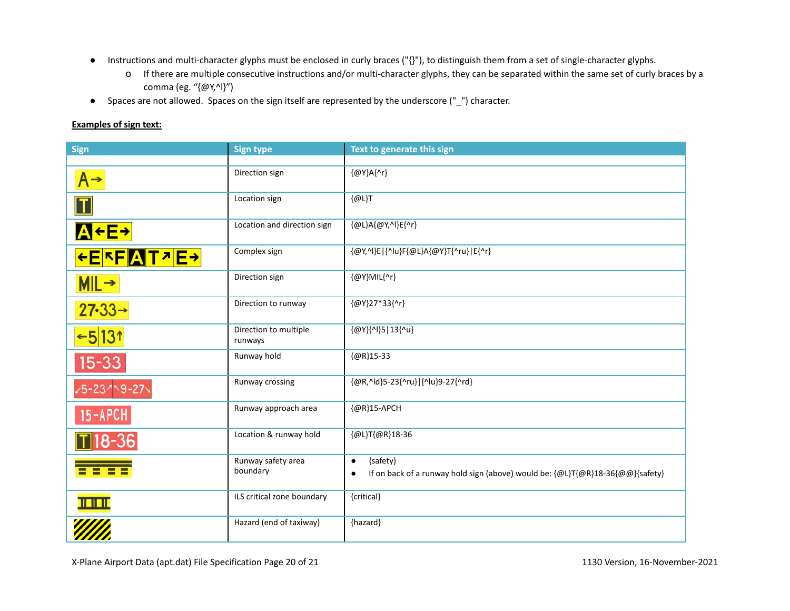- Instructions and multi-character glyphs must be enclosed in curly braces ("{}"), to distinguish them from a set of single-character glyphs.
	- o If there are multiple consecutive instructions and/or multi-character glyphs, they can be separated within the same set of curly braces by a comma (eg. "{@Y,^l}")
- Spaces are not allowed. Spaces on the sign itself are represented by the underscore ("\_") character.

# **Examples of sign text:**

| <b>Sign</b>                   | <b>Sign type</b>                 | Text to generate this sign                                                                 |
|-------------------------------|----------------------------------|--------------------------------------------------------------------------------------------|
|                               |                                  |                                                                                            |
| $A \rightarrow$               | Direction sign                   | {@Y}A{^r}                                                                                  |
| $\boldsymbol{\Pi}$            | Location sign                    | [@L]T                                                                                      |
| <b>AFE+</b>                   | Location and direction sign      | {@L}A{@Y,^I}E{^r}                                                                          |
| <u>←E<mark>FF</mark>AT기E→</u> | Complex sign                     | {@Y,^I}E {^Iu}F{@L}A{@Y}T{^ru} E{^r}                                                       |
| $MIL \rightarrow$             | Direction sign                   | {@Y}MIL{^r}                                                                                |
| $27 - 33 \rightarrow$         | Direction to runway              | {@Y}27*33{^r}                                                                              |
| $-5 131$                      | Direction to multiple<br>runways | {@Y}{^I}5 13{^u}                                                                           |
| $15 - 33$                     | Runway hold                      | ${@R}15-33$                                                                                |
| -5-23759-27                   | Runway crossing                  | {@R,^ld}5-23{^ru} {^lu}9-27{^rd}                                                           |
| $15 - APCH$                   | Runway approach area             | {@R}15-APCH                                                                                |
| $\overline{1}$ 18-36          | Location & runway hold           | {@L}T{@R}18-36                                                                             |
| - -<br><b>HE</b>              | Runway safety area<br>boundary   | {safety}<br>$\bullet$                                                                      |
|                               |                                  | If on back of a runway hold sign (above) would be: {@L}T{@R}18-36{@@}{safety}<br>$\bullet$ |
| <u>HEITH</u>                  | ILS critical zone boundary       | {critical}                                                                                 |
|                               | Hazard (end of taxiway)          | {hazard}                                                                                   |